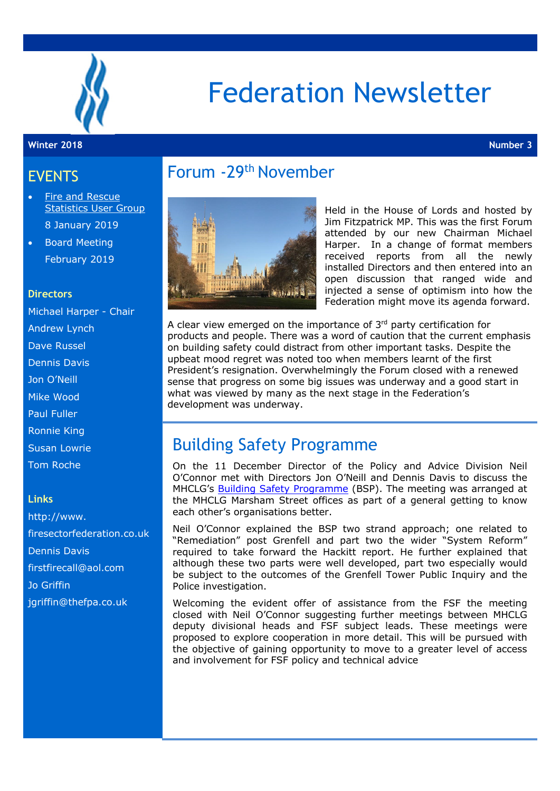

# Federation Newsletter

#### **Winter 2018 Number 3**

### EVENTS

- Fire and Rescue Statistics User Group 8 January 2019
- Board Meeting February 2019

#### **Directors**

Michael Harper - Chair Andrew Lynch Dave Russel Dennis Davis Jon O'Neill Mike Wood Paul Fuller Ronnie King Susan Lowrie Tom Roche

#### **Links**

http://www. firesectorfederation.co.uk Dennis Davis firstfirecall@aol.com Jo Griffin jgriffin@thefpa.co.uk

# Forum -29th November



Held in the House of Lords and hosted by Jim Fitzpatrick MP. This was the first Forum attended by our new Chairman Michael Harper. In a change of format members received reports from all the newly installed Directors and then entered into an open discussion that ranged wide and injected a sense of optimism into how the Federation might move its agenda forward.

A clear view emerged on the importance of  $3<sup>rd</sup>$  party certification for products and people. There was a word of caution that the current emphasis on building safety could distract from other important tasks. Despite the upbeat mood regret was noted too when members learnt of the first President's resignation. Overwhelmingly the Forum closed with a renewed sense that progress on some big issues was underway and a good start in what was viewed by many as the next stage in the Federation's development was underway.

### Building Safety Programme

On the 11 December Director of the Policy and Advice Division Neil O'Connor met with Directors Jon O'Neill and Dennis Davis to discuss the MHCLG's Building Safety Programme (BSP). The meeting was arranged at the MHCLG Marsham Street offices as part of a general getting to know each other's organisations better.

Neil O'Connor explained the BSP two strand approach; one related to "Remediation" post Grenfell and part two the wider "System Reform" required to take forward the Hackitt report. He further explained that although these two parts were well developed, part two especially would be subject to the outcomes of the Grenfell Tower Public Inquiry and the Police investigation.

Welcoming the evident offer of assistance from the FSF the meeting closed with Neil O'Connor suggesting further meetings between MHCLG deputy divisional heads and FSF subject leads. These meetings were proposed to explore cooperation in more detail. This will be pursued with the objective of gaining opportunity to move to a greater level of access and involvement for FSF policy and technical advice